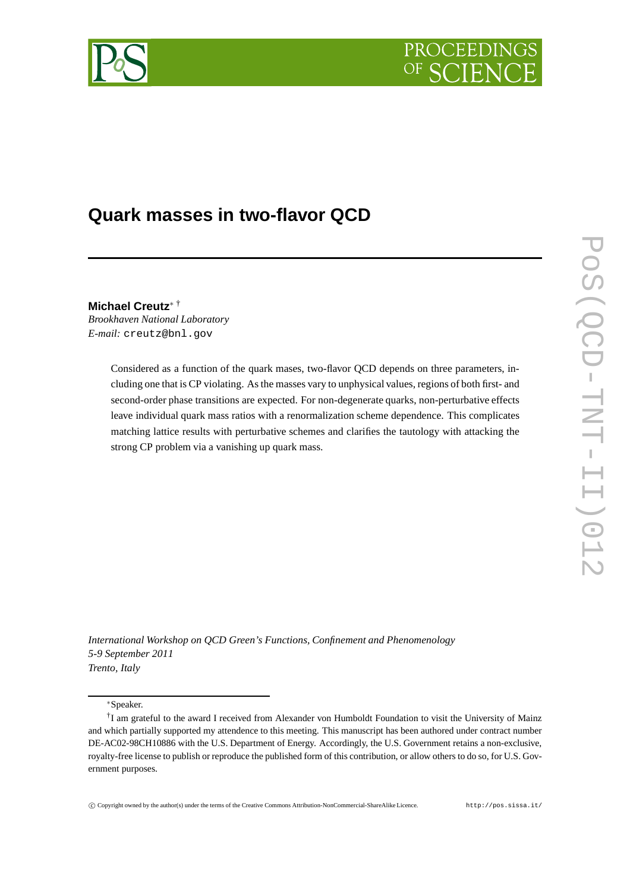



# **Quark masses in two-flavor QCD**

**Michael Creutz**<sup>∗</sup> † *Brookhaven National Laboratory E-mail:* creutz@bnl.gov

> Considered as a function of the quark mases, two-flavor QCD depends on three parameters, including one that is CP violating. As the masses vary to unphysical values, regions of both first- and second-order phase transitions are expected. For non-degenerate quarks, non-perturbative effects leave individual quark mass ratios with a renormalization scheme dependence. This complicates matching lattice results with perturbative schemes and clarifies the tautology with attacking the strong CP problem via a vanishing up quark mass.

*International Workshop on QCD Green's Functions, Confinement and Phenomenology 5-9 September 2011 Trento, Italy*

∗Speaker.

c Copyright owned by the author(s) under the terms of the Creative Commons Attribution-NonCommercial-ShareAlike Licence. http://pos.sissa.it/

<sup>†</sup> I am grateful to the award I received from Alexander von Humboldt Foundation to visit the University of Mainz and which partially supported my attendence to this meeting. This manuscript has been authored under contract number DE-AC02-98CH10886 with the U.S. Department of Energy. Accordingly, the U.S. Government retains a non-exclusive, royalty-free license to publish or reproduce the published form of this contribution, or allow others to do so, for U.S. Government purposes.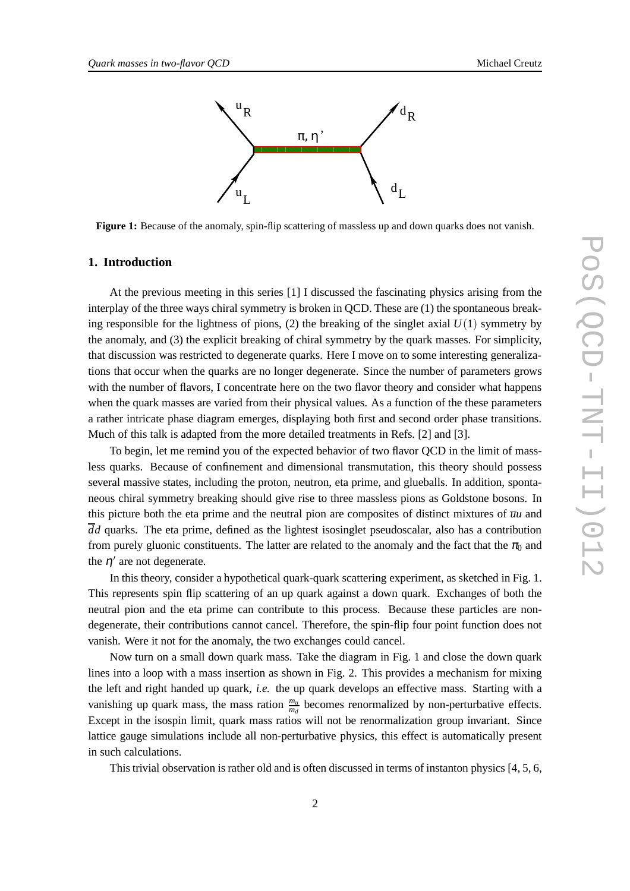

**Figure 1:** Because of the anomaly, spin-flip scattering of massless up and down quarks does not vanish.

## **1. Introduction**

At the previous meeting in this series [1] I discussed the fascinating physics arising from the interplay of the three ways chiral symmetry is broken in QCD. These are (1) the spontaneous breaking responsible for the lightness of pions,  $(2)$  the breaking of the singlet axial  $U(1)$  symmetry by the anomaly, and (3) the explicit breaking of chiral symmetry by the quark masses. For simplicity, that discussion was restricted to degenerate quarks. Here I move on to some interesting generalizations that occur when the quarks are no longer degenerate. Since the number of parameters grows with the number of flavors, I concentrate here on the two flavor theory and consider what happens when the quark masses are varied from their physical values. As a function of the these parameters a rather intricate phase diagram emerges, displaying both first and second order phase transitions. Much of this talk is adapted from the more detailed treatments in Refs. [2] and [3].

To begin, let me remind you of the expected behavior of two flavor QCD in the limit of massless quarks. Because of confinement and dimensional transmutation, this theory should possess several massive states, including the proton, neutron, eta prime, and glueballs. In addition, spontaneous chiral symmetry breaking should give rise to three massless pions as Goldstone bosons. In this picture both the eta prime and the neutral pion are composites of distinct mixtures of  $\overline{u}u$  and  $\overline{d}d$  quarks. The eta prime, defined as the lightest isosinglet pseudoscalar, also has a contribution from purely gluonic constituents. The latter are related to the anomaly and the fact that the  $\pi_0$  and the  $\eta'$  are not degenerate.

In this theory, consider a hypothetical quark-quark scattering experiment, as sketched in Fig. 1. This represents spin flip scattering of an up quark against a down quark. Exchanges of both the neutral pion and the eta prime can contribute to this process. Because these particles are nondegenerate, their contributions cannot cancel. Therefore, the spin-flip four point function does not vanish. Were it not for the anomaly, the two exchanges could cancel.

Now turn on a small down quark mass. Take the diagram in Fig. 1 and close the down quark lines into a loop with a mass insertion as shown in Fig. 2. This provides a mechanism for mixing the left and right handed up quark, *i.e.* the up quark develops an effective mass. Starting with a vanishing up quark mass, the mass ration  $\frac{m_u}{m_d}$  becomes renormalized by non-perturbative effects. Except in the isospin limit, quark mass ratios will not be renormalization group invariant. Since lattice gauge simulations include all non-perturbative physics, this effect is automatically present in such calculations.

This trivial observation is rather old and is often discussed in terms of instanton physics [4, 5, 6,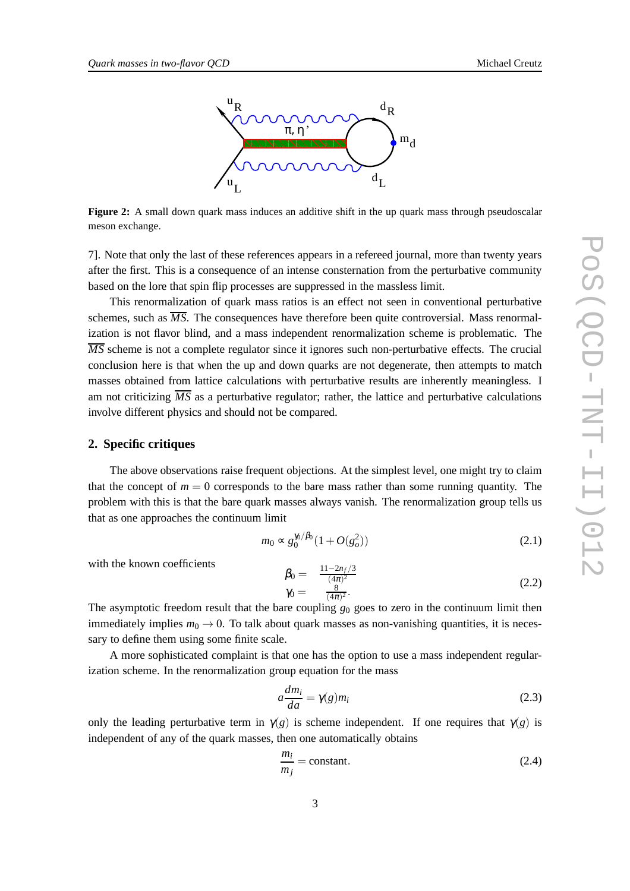

**Figure 2:** A small down quark mass induces an additive shift in the up quark mass through pseudoscalar meson exchange.

7]. Note that only the last of these references appears in a refereed journal, more than twenty years after the first. This is a consequence of an intense consternation from the perturbative community based on the lore that spin flip processes are suppressed in the massless limit.

This renormalization of quark mass ratios is an effect not seen in conventional perturbative schemes, such as  $\overline{MS}$ . The consequences have therefore been quite controversial. Mass renormalization is not flavor blind, and a mass independent renormalization scheme is problematic. The *MS* scheme is not a complete regulator since it ignores such non-perturbative effects. The crucial conclusion here is that when the up and down quarks are not degenerate, then attempts to match masses obtained from lattice calculations with perturbative results are inherently meaningless. I am not criticizing  $\overline{MS}$  as a perturbative regulator; rather, the lattice and perturbative calculations involve different physics and should not be compared.

### **2. Specific critiques**

The above observations raise frequent objections. At the simplest level, one might try to claim that the concept of  $m = 0$  corresponds to the bare mass rather than some running quantity. The problem with this is that the bare quark masses always vanish. The renormalization group tells us that as one approaches the continuum limit

$$
m_0 \propto g_0^{\pi/6} (1 + O(g_o^2))
$$
\n(2.1)

with the known coefficients

$$
\begin{array}{ll}\n\beta_0 = & \frac{11 - 2n_f/3}{(4\pi)^2} \\
\gamma_0 = & \frac{8}{(4\pi)^2}.\n\end{array} \tag{2.2}
$$

The asymptotic freedom result that the bare coupling  $g_0$  goes to zero in the continuum limit then immediately implies  $m_0 \rightarrow 0$ . To talk about quark masses as non-vanishing quantities, it is necessary to define them using some finite scale.

A more sophisticated complaint is that one has the option to use a mass independent regularization scheme. In the renormalization group equation for the mass

$$
a\frac{dm_i}{da} = \gamma(g)m_i \tag{2.3}
$$

only the leading perturbative term in  $\gamma(g)$  is scheme independent. If one requires that  $\gamma(g)$  is independent of any of the quark masses, then one automatically obtains

$$
\frac{m_i}{m_j} = \text{constant.} \tag{2.4}
$$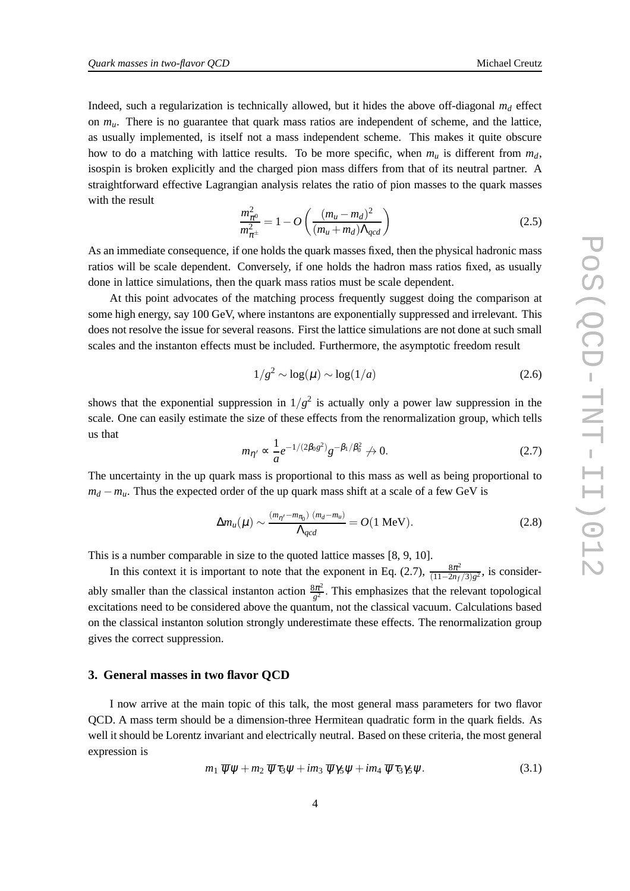Indeed, such a regularization is technically allowed, but it hides the above off-diagonal  $m<sub>d</sub>$  effect on *mu*. There is no guarantee that quark mass ratios are independent of scheme, and the lattice, as usually implemented, is itself not a mass independent scheme. This makes it quite obscure how to do a matching with lattice results. To be more specific, when  $m_u$  is different from  $m_d$ , isospin is broken explicitly and the charged pion mass differs from that of its neutral partner. A straightforward effective Lagrangian analysis relates the ratio of pion masses to the quark masses with the result

$$
\frac{m_{\pi^0}^2}{m_{\pi^{\pm}}^2} = 1 - O\left(\frac{(m_u - m_d)^2}{(m_u + m_d)\Lambda_{qcd}}\right)
$$
(2.5)

As an immediate consequence, if one holds the quark masses fixed, then the physical hadronic mass ratios will be scale dependent. Conversely, if one holds the hadron mass ratios fixed, as usually done in lattice simulations, then the quark mass ratios must be scale dependent.

At this point advocates of the matching process frequently suggest doing the comparison at some high energy, say 100 GeV, where instantons are exponentially suppressed and irrelevant. This does not resolve the issue for several reasons. First the lattice simulations are not done at such small scales and the instanton effects must be included. Furthermore, the asymptotic freedom result

$$
1/g^2 \sim \log(\mu) \sim \log(1/a) \tag{2.6}
$$

shows that the exponential suppression in  $1/g^2$  is actually only a power law suppression in the scale. One can easily estimate the size of these effects from the renormalization group, which tells us that

$$
m_{\eta'} \propto \frac{1}{a} e^{-1/(2\beta_0 g^2)} g^{-\beta_1/\beta_0^2} \nrightarrow 0.
$$
\n(2.7)

The uncertainty in the up quark mass is proportional to this mass as well as being proportional to  $m_d - m_u$ . Thus the expected order of the up quark mass shift at a scale of a few GeV is

$$
\Delta m_u(\mu) \sim \frac{(m_{\eta'} - m_{\pi_0}) (m_d - m_u)}{\Lambda_{qcd}} = O(1 \text{ MeV}). \tag{2.8}
$$

This is a number comparable in size to the quoted lattice masses [8, 9, 10].

In this context it is important to note that the exponent in Eq. (2.7),  $\frac{8\pi^2}{(11-2n)}$  $\frac{8\pi^2}{(11-2n_f/3)g^2}$ , is considerably smaller than the classical instanton action  $\frac{8\pi^2}{a^2}$  $\frac{3\pi^2}{g^2}$ . This emphasizes that the relevant topological excitations need to be considered above the quantum, not the classical vacuum. Calculations based on the classical instanton solution strongly underestimate these effects. The renormalization group gives the correct suppression.

#### **3. General masses in two flavor QCD**

I now arrive at the main topic of this talk, the most general mass parameters for two flavor QCD. A mass term should be a dimension-three Hermitean quadratic form in the quark fields. As well it should be Lorentz invariant and electrically neutral. Based on these criteria, the most general expression is

$$
m_1 \overline{\psi}\psi + m_2 \overline{\psi}\tau_3\psi + im_3 \overline{\psi}\gamma_5\psi + im_4 \overline{\psi}\tau_3\gamma_5\psi.
$$
 (3.1)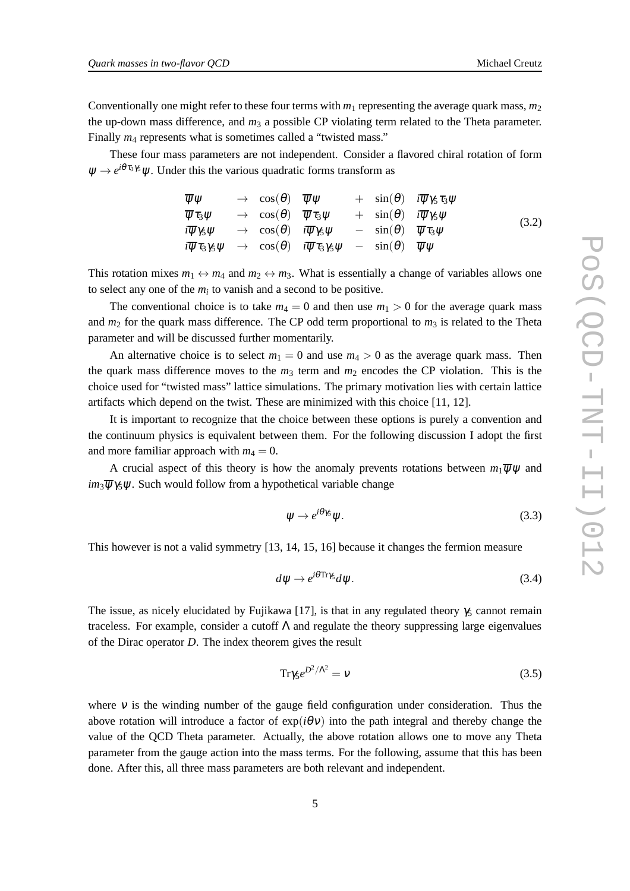Conventionally one might refer to these four terms with  $m_1$  representing the average quark mass,  $m_2$ the up-down mass difference, and  $m<sub>3</sub>$  a possible CP violating term related to the Theta parameter. Finally  $m_4$  represents what is sometimes called a "twisted mass."

These four mass parameters are not independent. Consider a flavored chiral rotation of form  $\psi \rightarrow e^{i\theta \tau_3}$   $\psi$ . Under this the various quadratic forms transform as

$$
\overline{\psi}\psi \rightarrow \cos(\theta) \quad \overline{\psi}\psi \rightarrow \sin(\theta) \quad i\overline{\psi}\gamma_5 \tau_3 \psi \n\overline{\psi}\tau_3 \psi \rightarrow \cos(\theta) \quad \overline{\psi}\tau_3 \psi \rightarrow \sin(\theta) \quad i\overline{\psi}\gamma_5 \psi \n\overline{i}\overline{\psi}\gamma_5 \psi \rightarrow \cos(\theta) \quad i\overline{\psi}\gamma_5 \psi \rightarrow \sin(\theta) \quad \overline{\psi}\tau_3 \psi \n\overline{i}\overline{\psi}\tau_3 \gamma_5 \psi \rightarrow \cos(\theta) \quad i\overline{\psi}\tau_3 \gamma_5 \psi - \sin(\theta) \quad \overline{\psi}\psi
$$
\n(3.2)

This rotation mixes  $m_1 \leftrightarrow m_4$  and  $m_2 \leftrightarrow m_3$ . What is essentially a change of variables allows one to select any one of the  $m_i$  to vanish and a second to be positive.

The conventional choice is to take  $m_4 = 0$  and then use  $m_1 > 0$  for the average quark mass and  $m_2$  for the quark mass difference. The CP odd term proportional to  $m_3$  is related to the Theta parameter and will be discussed further momentarily.

An alternative choice is to select  $m_1 = 0$  and use  $m_4 > 0$  as the average quark mass. Then the quark mass difference moves to the  $m_3$  term and  $m_2$  encodes the CP violation. This is the choice used for "twisted mass" lattice simulations. The primary motivation lies with certain lattice artifacts which depend on the twist. These are minimized with this choice [11, 12].

It is important to recognize that the choice between these options is purely a convention and the continuum physics is equivalent between them. For the following discussion I adopt the first and more familiar approach with  $m_4 = 0$ .

A crucial aspect of this theory is how the anomaly prevents rotations between  $m_1\overline{\psi}\psi$  and  $im_3\overline{w}$   $\gamma$ s w. Such would follow from a hypothetical variable change

$$
\psi \to e^{i\theta\gamma_5}\psi. \tag{3.3}
$$

This however is not a valid symmetry [13, 14, 15, 16] because it changes the fermion measure

$$
d\psi \to e^{i\theta \text{Tr}\gamma_5} d\psi. \tag{3.4}
$$

The issue, as nicely elucidated by Fujikawa [17], is that in any regulated theory  $\gamma_5$  cannot remain traceless. For example, consider a cutoff  $\Lambda$  and regulate the theory suppressing large eigenvalues of the Dirac operator *D*. The index theorem gives the result

$$
\text{Tr}\gamma_5 e^{D^2/\Lambda^2} = v \tag{3.5}
$$

where  $\nu$  is the winding number of the gauge field configuration under consideration. Thus the above rotation will introduce a factor of  $\exp(i\theta v)$  into the path integral and thereby change the value of the QCD Theta parameter. Actually, the above rotation allows one to move any Theta parameter from the gauge action into the mass terms. For the following, assume that this has been done. After this, all three mass parameters are both relevant and independent.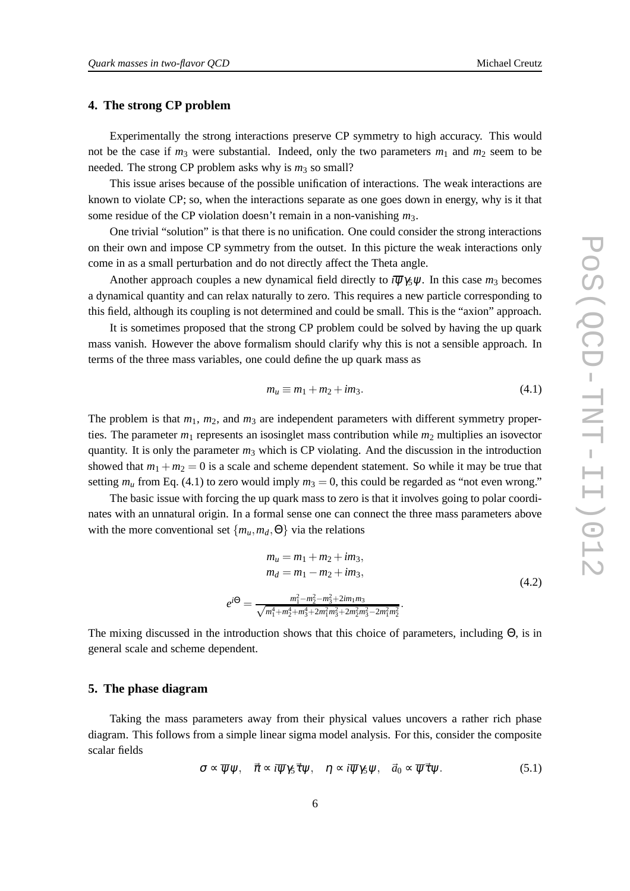## **4. The strong CP problem**

Experimentally the strong interactions preserve CP symmetry to high accuracy. This would not be the case if  $m_3$  were substantial. Indeed, only the two parameters  $m_1$  and  $m_2$  seem to be needed. The strong CP problem asks why is  $m_3$  so small?

This issue arises because of the possible unification of interactions. The weak interactions are known to violate CP; so, when the interactions separate as one goes down in energy, why is it that some residue of the CP violation doesn't remain in a non-vanishing *m*3.

One trivial "solution" is that there is no unification. One could consider the strong interactions on their own and impose CP symmetry from the outset. In this picture the weak interactions only come in as a small perturbation and do not directly affect the Theta angle.

Another approach couples a new dynamical field directly to  $i\overline{\psi}\gamma_5\psi$ . In this case  $m_3$  becomes a dynamical quantity and can relax naturally to zero. This requires a new particle corresponding to this field, although its coupling is not determined and could be small. This is the "axion" approach.

It is sometimes proposed that the strong CP problem could be solved by having the up quark mass vanish. However the above formalism should clarify why this is not a sensible approach. In terms of the three mass variables, one could define the up quark mass as

$$
m_u \equiv m_1 + m_2 + im_3. \tag{4.1}
$$

The problem is that  $m_1$ ,  $m_2$ , and  $m_3$  are independent parameters with different symmetry properties. The parameter  $m_1$  represents an isosinglet mass contribution while  $m_2$  multiplies an isovector quantity. It is only the parameter  $m_3$  which is CP violating. And the discussion in the introduction showed that  $m_1 + m_2 = 0$  is a scale and scheme dependent statement. So while it may be true that setting  $m_u$  from Eq. (4.1) to zero would imply  $m_3 = 0$ , this could be regarded as "not even wrong."

The basic issue with forcing the up quark mass to zero is that it involves going to polar coordinates with an unnatural origin. In a formal sense one can connect the three mass parameters above with the more conventional set  $\{m_u, m_d, \Theta\}$  via the relations

$$
m_u = m_1 + m_2 + im_3,
$$
  
\n
$$
m_d = m_1 - m_2 + im_3,
$$
  
\n
$$
e^{i\Theta} = \frac{m_1^2 - m_2^2 - m_3^2 + 2im_1m_3}{\sqrt{m_1^4 + m_2^4 + m_3^4 + 2m_1^2 m_3^2 + 2m_2^2 m_3^2 - 2m_1^2 m_2^2}}.
$$
\n(4.2)

The mixing discussed in the introduction shows that this choice of parameters, including Θ, is in general scale and scheme dependent.

## **5. The phase diagram**

Taking the mass parameters away from their physical values uncovers a rather rich phase diagram. This follows from a simple linear sigma model analysis. For this, consider the composite scalar fields

$$
\sigma \propto \overline{\psi}\psi, \quad \vec{\pi} \propto i\overline{\psi}\gamma_5 \vec{\tau}\psi, \quad \eta \propto i\overline{\psi}\gamma_5 \psi, \quad \vec{a}_0 \propto \overline{\psi}\vec{\tau}\psi. \tag{5.1}
$$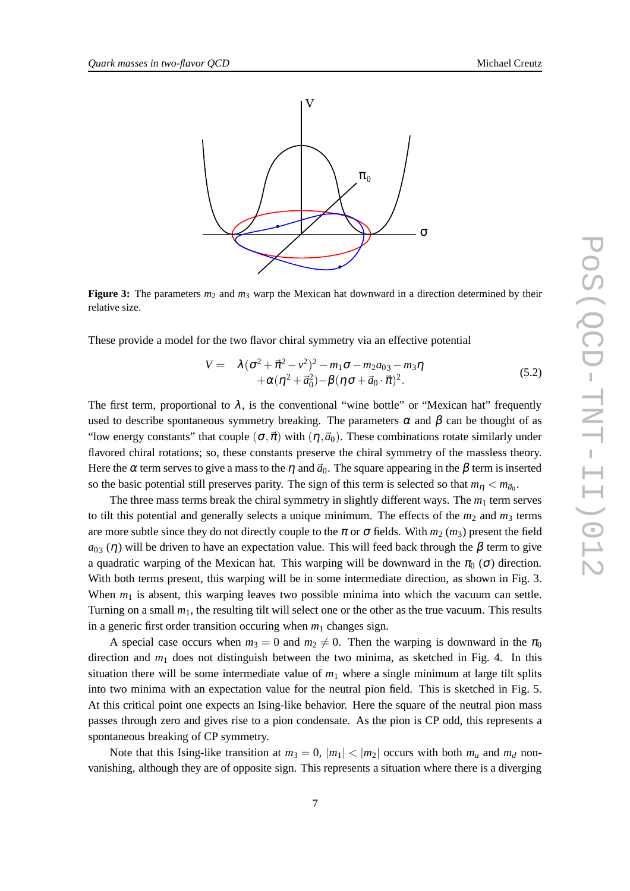

**Figure 3:** The parameters  $m_2$  and  $m_3$  warp the Mexican hat downward in a direction determined by their relative size.

These provide a model for the two flavor chiral symmetry via an effective potential

$$
V = \lambda (\sigma^2 + \vec{\pi}^2 - v^2)^2 - m_1 \sigma - m_2 a_{03} - m_3 \eta + \alpha (\eta^2 + \vec{a}_0^2) - \beta (\eta \sigma + \vec{a}_0 \cdot \vec{\pi})^2.
$$
 (5.2)

The first term, proportional to  $\lambda$ , is the conventional "wine bottle" or "Mexican hat" frequently used to describe spontaneous symmetry breaking. The parameters  $\alpha$  and  $\beta$  can be thought of as "low energy constants" that couple  $(\sigma,\vec{\pi})$  with  $(\eta,\vec{a}_0)$ . These combinations rotate similarly under flavored chiral rotations; so, these constants preserve the chiral symmetry of the massless theory. Here the  $\alpha$  term serves to give a mass to the  $\eta$  and  $\vec{a}_0$ . The square appearing in the  $\beta$  term is inserted so the basic potential still preserves parity. The sign of this term is selected so that  $m_{\eta} < m_{\vec{a}_0}$ .

The three mass terms break the chiral symmetry in slightly different ways. The  $m_1$  term serves to tilt this potential and generally selects a unique minimum. The effects of the  $m_2$  and  $m_3$  terms are more subtle since they do not directly couple to the  $\pi$  or  $\sigma$  fields. With  $m_2$  ( $m_3$ ) present the field  $a_{03}$  (η) will be driven to have an expectation value. This will feed back through the  $β$  term to give a quadratic warping of the Mexican hat. This warping will be downward in the  $\pi_0$  ( $\sigma$ ) direction. With both terms present, this warping will be in some intermediate direction, as shown in Fig. 3. When  $m_1$  is absent, this warping leaves two possible minima into which the vacuum can settle. Turning on a small  $m_1$ , the resulting tilt will select one or the other as the true vacuum. This results in a generic first order transition occuring when  $m_1$  changes sign.

A special case occurs when  $m_3 = 0$  and  $m_2 \neq 0$ . Then the warping is downward in the  $\pi_0$ direction and  $m_1$  does not distinguish between the two minima, as sketched in Fig. 4. In this situation there will be some intermediate value of  $m<sub>1</sub>$  where a single minimum at large tilt splits into two minima with an expectation value for the neutral pion field. This is sketched in Fig. 5. At this critical point one expects an Ising-like behavior. Here the square of the neutral pion mass passes through zero and gives rise to a pion condensate. As the pion is CP odd, this represents a spontaneous breaking of CP symmetry.

Note that this Ising-like transition at  $m_3 = 0$ ,  $|m_1| < |m_2|$  occurs with both  $m_u$  and  $m_d$  nonvanishing, although they are of opposite sign. This represents a situation where there is a diverging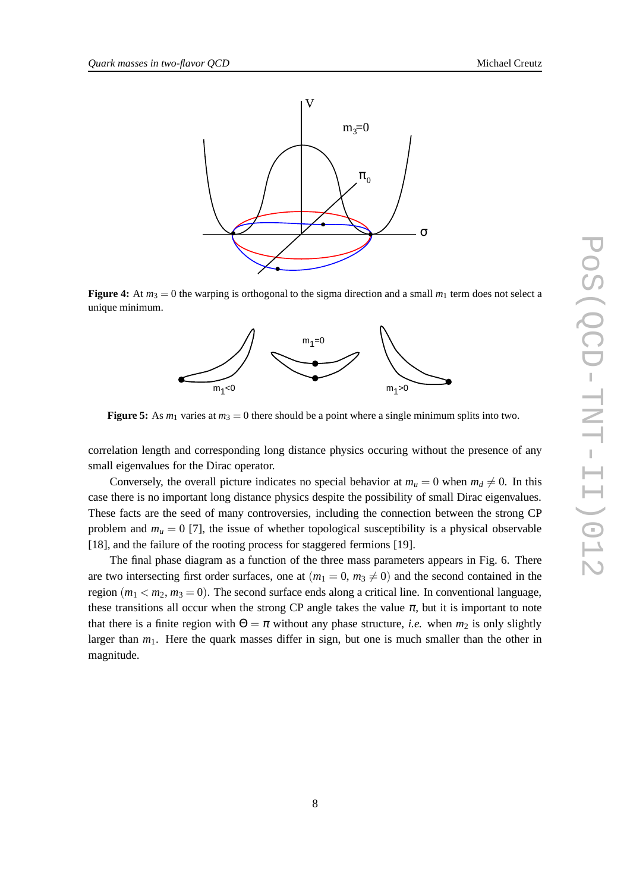

**Figure 4:** At  $m_3 = 0$  the warping is orthogonal to the sigma direction and a small  $m_1$  term does not select a unique minimum.



**Figure 5:** As  $m_1$  varies at  $m_3 = 0$  there should be a point where a single minimum splits into two.

correlation length and corresponding long distance physics occuring without the presence of any small eigenvalues for the Dirac operator.

Conversely, the overall picture indicates no special behavior at  $m_u = 0$  when  $m_d \neq 0$ . In this case there is no important long distance physics despite the possibility of small Dirac eigenvalues. These facts are the seed of many controversies, including the connection between the strong CP problem and  $m_u = 0$  [7], the issue of whether topological susceptibility is a physical observable [18], and the failure of the rooting process for staggered fermions [19].

The final phase diagram as a function of the three mass parameters appears in Fig. 6. There are two intersecting first order surfaces, one at  $(m_1 = 0, m_3 \neq 0)$  and the second contained in the region  $(m_1 < m_2, m_3 = 0)$ . The second surface ends along a critical line. In conventional language, these transitions all occur when the strong CP angle takes the value  $\pi$ , but it is important to note that there is a finite region with  $\Theta = \pi$  without any phase structure, *i.e.* when  $m_2$  is only slightly larger than  $m_1$ . Here the quark masses differ in sign, but one is much smaller than the other in magnitude.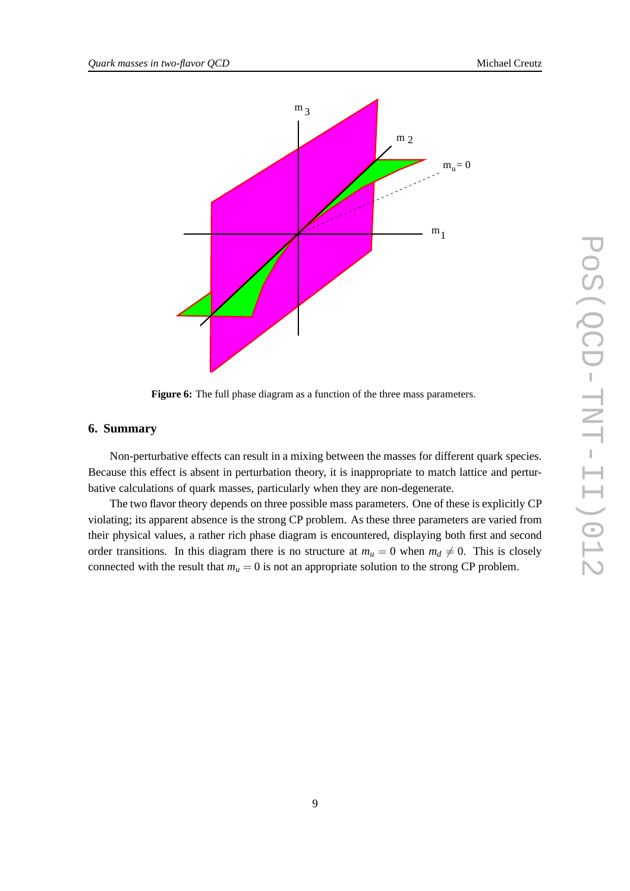

**Figure 6:** The full phase diagram as a function of the three mass parameters.

## **6. Summary**

Non-perturbative effects can result in a mixing between the masses for different quark species. Because this effect is absent in perturbation theory, it is inappropriate to match lattice and perturbative calculations of quark masses, particularly when they are non-degenerate.

The two flavor theory depends on three possible mass parameters. One of these is explicitly CP violating; its apparent absence is the strong CP problem. As these three parameters are varied from their physical values, a rather rich phase diagram is encountered, displaying both first and second order transitions. In this diagram there is no structure at  $m_u = 0$  when  $m_d \neq 0$ . This is closely connected with the result that  $m_u = 0$  is not an appropriate solution to the strong CP problem.